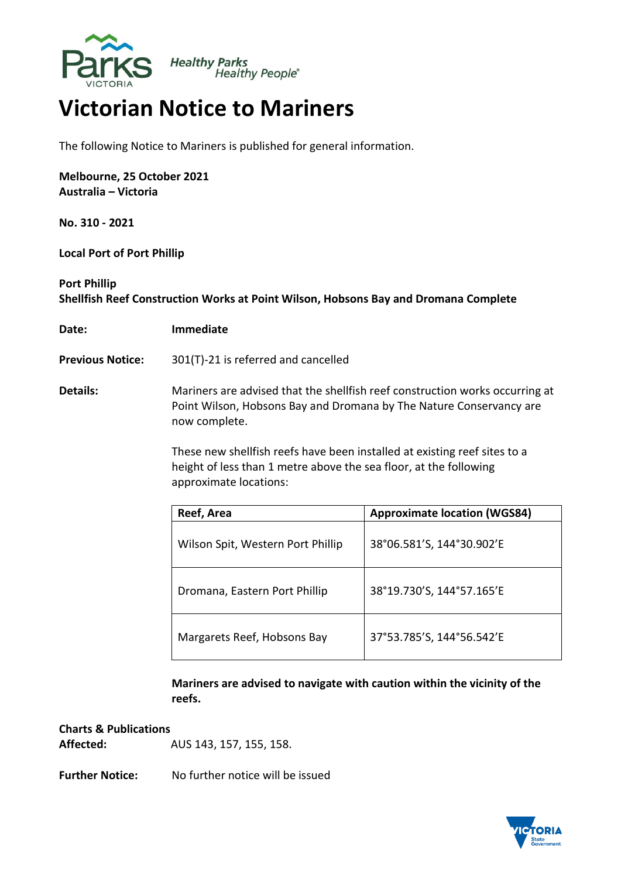

## **Victorian Notice to Mariners**

The following Notice to Mariners is published for general information.

**Melbourne, 25 October 2021 Australia – Victoria**

**No. 310 - 2021**

**Local Port of Port Phillip** 

## **Port Phillip Shellfish Reef Construction Works at Point Wilson, Hobsons Bay and Dromana Complete**

**Date: Immediate**

**Previous Notice:** 301(T)-21 is referred and cancelled

**Details:** Mariners are advised that the shellfish reef construction works occurring at Point Wilson, Hobsons Bay and Dromana by The Nature Conservancy are now complete.

> These new shellfish reefs have been installed at existing reef sites to a height of less than 1 metre above the sea floor, at the following approximate locations:

| Reef, Area                        | <b>Approximate location (WGS84)</b> |
|-----------------------------------|-------------------------------------|
| Wilson Spit, Western Port Phillip | 38°06.581'S, 144°30.902'E           |
| Dromana, Eastern Port Phillip     | 38°19.730'S, 144°57.165'E           |
| Margarets Reef, Hobsons Bay       | 37°53.785'S, 144°56.542'E           |

**Mariners are advised to navigate with caution within the vicinity of the reefs.**

**Charts & Publications Affected:** AUS 143, 157, 155, 158.

**Further Notice:** No further notice will be issued